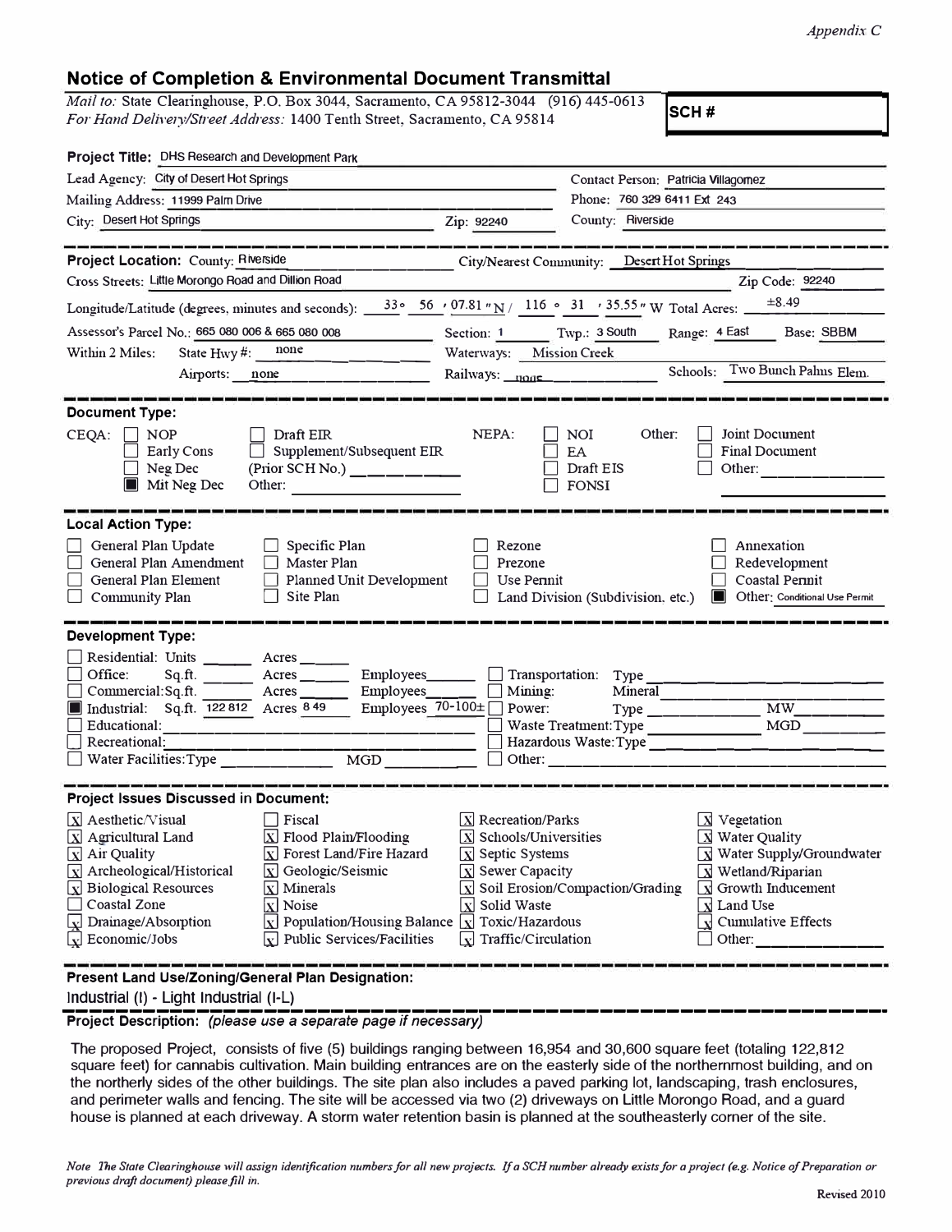## **Notice of Completion & Environmental Document Transmittal**

*Mail to:* State Clearinghouse, P.O. Box 3044, Sacramento, CA 95812-3044 (916) 445-0613 *For Hand Delivery/Street Address:* 1400 Tenth Street, Sacramento, CA 95814 **SCH #** 

| Project Title: DHS Research and Development Park                                                                                                                                                                                                                                                                                                                                                                                                                                                                                                                                                                                        |                                                                                                                                                                                                                                  |                                                      |                                                                                                                                                                                                                                                                              |
|-----------------------------------------------------------------------------------------------------------------------------------------------------------------------------------------------------------------------------------------------------------------------------------------------------------------------------------------------------------------------------------------------------------------------------------------------------------------------------------------------------------------------------------------------------------------------------------------------------------------------------------------|----------------------------------------------------------------------------------------------------------------------------------------------------------------------------------------------------------------------------------|------------------------------------------------------|------------------------------------------------------------------------------------------------------------------------------------------------------------------------------------------------------------------------------------------------------------------------------|
| Lead Agency: City of Desert Hot Springs                                                                                                                                                                                                                                                                                                                                                                                                                                                                                                                                                                                                 |                                                                                                                                                                                                                                  | Contact Person: Patricia Villagomez                  |                                                                                                                                                                                                                                                                              |
| Mailing Address: 11999 Palm Drive                                                                                                                                                                                                                                                                                                                                                                                                                                                                                                                                                                                                       |                                                                                                                                                                                                                                  | Phone: 760 329 6411 Ext 243                          |                                                                                                                                                                                                                                                                              |
| City: Desert Hot Springs                                                                                                                                                                                                                                                                                                                                                                                                                                                                                                                                                                                                                | Zip: 92240                                                                                                                                                                                                                       | County: Riverside                                    |                                                                                                                                                                                                                                                                              |
|                                                                                                                                                                                                                                                                                                                                                                                                                                                                                                                                                                                                                                         |                                                                                                                                                                                                                                  |                                                      |                                                                                                                                                                                                                                                                              |
| <b>Project Location: County: Riverside</b>                                                                                                                                                                                                                                                                                                                                                                                                                                                                                                                                                                                              |                                                                                                                                                                                                                                  | City/Nearest Community: _ Desert Hot Springs         |                                                                                                                                                                                                                                                                              |
| Cross Streets: Little Morongo Road and Dillion Road                                                                                                                                                                                                                                                                                                                                                                                                                                                                                                                                                                                     |                                                                                                                                                                                                                                  |                                                      | Zip Code: 92240                                                                                                                                                                                                                                                              |
| Longitude/Latitude (degrees, minutes and seconds): _                                                                                                                                                                                                                                                                                                                                                                                                                                                                                                                                                                                    | 33 • 56 · 07.81 · N / 116 · 31 · 35.55 · W Total Acres: _                                                                                                                                                                        |                                                      | $\pm 8.49$                                                                                                                                                                                                                                                                   |
| Assessor's Parcel No.: 665 080 006 & 665 080 008<br>the control of the control of                                                                                                                                                                                                                                                                                                                                                                                                                                                                                                                                                       |                                                                                                                                                                                                                                  |                                                      | Section: 1 Twp.: 3 South Range: 4 East Base: SBBM                                                                                                                                                                                                                            |
| none<br>State Hwy#:<br>Within 2 Miles:                                                                                                                                                                                                                                                                                                                                                                                                                                                                                                                                                                                                  | Waterways: Mission Creek                                                                                                                                                                                                         |                                                      |                                                                                                                                                                                                                                                                              |
| Airports: none                                                                                                                                                                                                                                                                                                                                                                                                                                                                                                                                                                                                                          | Railways: none _______________                                                                                                                                                                                                   |                                                      | Schools: Two Bunch Pahns Elem.                                                                                                                                                                                                                                               |
| <b>Document Type:</b><br>$CEQA: \Box NOP$<br>Draft EIR                                                                                                                                                                                                                                                                                                                                                                                                                                                                                                                                                                                  | NEPA:                                                                                                                                                                                                                            | Other:<br>NOI                                        | Joint Document                                                                                                                                                                                                                                                               |
| $\Box$ Supplement/Subsequent EIR<br>Early Cons<br>$\Box$ Neg Dec<br>$(Prior SCH No.)$ ______<br>Mit Neg Dec                                                                                                                                                                                                                                                                                                                                                                                                                                                                                                                             |                                                                                                                                                                                                                                  | EA<br>Draft EIS<br>FONSI                             | <b>Final Document</b><br>Other:                                                                                                                                                                                                                                              |
| <b>Local Action Type:</b><br>General Plan Update<br>Specific Plan<br>General Plan Amendment<br>Master Plan<br>General Plan Element<br><b>Planned Unit Development</b><br>Site Plan<br>$\Box$ Community Plan                                                                                                                                                                                                                                                                                                                                                                                                                             | Rezone<br>Prezone<br>Use Permit                                                                                                                                                                                                  | Land Division (Subdivision, etc.)                    | Annexation<br>Redevelopment<br>Coastal Permit<br>Other: Conditional Use Permit<br>II.                                                                                                                                                                                        |
| <b>Development Type:</b>                                                                                                                                                                                                                                                                                                                                                                                                                                                                                                                                                                                                                |                                                                                                                                                                                                                                  |                                                      |                                                                                                                                                                                                                                                                              |
| Residential: Units ______<br>Acres <sub>___</sub> ___<br>Office:<br>Sq.ft.<br>$\Box$ Commercial: Sq. ft.<br>Acres $\_\_$<br>Industrial: Sq.ft. 122 812 Acres 8 49<br>Educational:<br>Recreational:<br>MGD<br>$\Box$ Water Facilities: Type                                                                                                                                                                                                                                                                                                                                                                                              | Employees_________ Transportation: Type _____ __<br>$\Box$ Mining:<br>Employees $\overline{70-100}$ Power:                                                                                                                       | Mineral<br>$Type \_$                                 | MW .<br>MGD                                                                                                                                                                                                                                                                  |
| <b>Project Issues Discussed in Document:</b>                                                                                                                                                                                                                                                                                                                                                                                                                                                                                                                                                                                            |                                                                                                                                                                                                                                  |                                                      |                                                                                                                                                                                                                                                                              |
| $\boxed{\mathbf{X}}$ Aesthetic/Visual<br>  Fiscal<br>$\boxed{\mathbf{X}}$ Agricultural Land<br>$\overline{X}$ Flood Plain/Flooding<br>[X] Forest Land/Fire Hazard<br>$\boxed{\mathbf{X}}$ Air Quality<br>$\boxed{\mathbf{X}}$ Archeological/Historical<br>$\bar{x}$ Geologic/Seismic<br>$\boxed{\mathbf{x}}$ Biological Resources<br>$\overline{\mathbf{x}}$ Minerals<br>Coastal Zone<br>$\overline{X}$ Noise<br>$\sqrt{\mathbf{x}}$ Drainage/Absorption<br>$\boxed{\mathbf{x}}$ Population/Housing Balance $\boxed{\mathbf{x}}$ Toxic/Hazardous<br>$\sqrt{\mathbf{r}}$ Economic/Jobs<br>$\lfloor x \rfloor$ Public Services/Facilities | $\boxed{\text{X}}$ Recreation/Parks<br>$\bar{x}$ Schools/Universities<br>$\boxed{\text{X}}$ Septic Systems<br>$\boxed{\mathrm{X}}$ Sewer Capacity<br>$\boxed{\mathbf{X}}$ Solid Waste<br>$\lfloor x \rfloor$ Traffic/Circulation | $\boxed{\mathbf{X}}$ Soil Erosion/Compaction/Grading | $X$ Vegetation<br>$\boxed{\mathbf{X}}$ Water Quality<br>$\boxed{\mathbf{X}}$ Water Supply/Groundwater<br>$\boxed{\mathbf{X}}$ Wetland/Riparian<br>$\lfloor x \rfloor$ Growth Inducement<br>$\boxed{\mathbf{X}}$ Land Use<br>$\sqrt{\mathbf{x}}$ Cumulative Effects<br>Other: |
| Present Land Use/Zoning/General Plan Designation:                                                                                                                                                                                                                                                                                                                                                                                                                                                                                                                                                                                       |                                                                                                                                                                                                                                  |                                                      |                                                                                                                                                                                                                                                                              |

Industrial (I) - Light Industrial (1-L}

-------------------------------------------------------------- **Project Description:** *(please use a separate page if necessary)* 

The proposed Project, consists of five (5) buildings ranging between 16,954 and 30,600 square feet (totaling 122,812 square feet) for cannabis cultivation. Main building entrances are on the easterly side of the northernmost building, and on the northerly sides of the other buildings. The site plan also includes a paved parking lot, landscaping, trash enclosures, and perimeter walls and fencing. The site will be accessed via two (2) driveways on Little Morongo Road, and a guard house is planned at each driveway. A storm water retention basin is planned at the southeasterly corner of the site.

*Note The State Clearinghouse will assign identification numbers for all new projects. If a SCH number already exists for a project (e.g. Notice of Preparation or previous dreft document) please.fill in.*